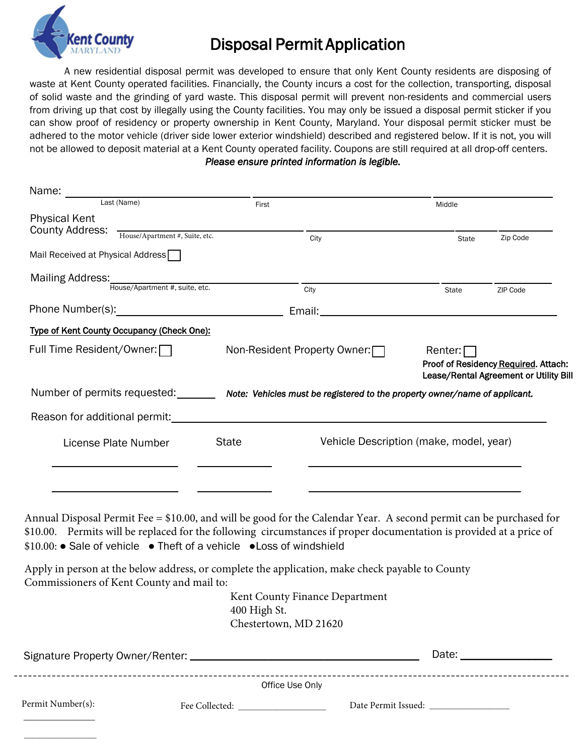

# Disposal Permit Application

 A new residential disposal permit was developed to ensure that only Kent County residents are disposing of waste at Kent County operated facilities. Financially, the County incurs a cost for the collection, transporting, disposal of solid waste and the grinding of yard waste. This disposal permit will prevent non-residents and commercial users from driving up that cost by illegally using the County facilities. You may only be issued a disposal permit sticker if you can show proof of residency or property ownership in Kent County, Maryland. Your disposal permit sticker must be adhered to the motor vehicle (driver side lower exterior windshield) described and registered below. If it is not, you will not be allowed to deposit material at a Kent County operated facility. Coupons are still required at all drop-off centers. *Please ensure printed information is legible.*

| Name:                                          |                                            |                                                  |                                                                                                         |                |                                                                                |
|------------------------------------------------|--------------------------------------------|--------------------------------------------------|---------------------------------------------------------------------------------------------------------|----------------|--------------------------------------------------------------------------------|
| Last (Name)                                    |                                            | First                                            |                                                                                                         | Middle         |                                                                                |
| <b>Physical Kent</b><br><b>County Address:</b> |                                            |                                                  |                                                                                                         |                |                                                                                |
|                                                | House/Apartment #, Suite, etc.             |                                                  | City                                                                                                    | State          | Zip Code                                                                       |
| Mail Received at Physical Address              |                                            |                                                  |                                                                                                         |                |                                                                                |
| Mailing Address:                               |                                            |                                                  |                                                                                                         |                |                                                                                |
|                                                | :<br>House/Apartment #, suite, etc.        |                                                  | City                                                                                                    | State          | ZIP Code                                                                       |
|                                                |                                            |                                                  |                                                                                                         |                |                                                                                |
|                                                | Type of Kent County Occupancy (Check One): |                                                  |                                                                                                         |                |                                                                                |
| Full Time Resident/Owner: □                    |                                            | Non-Resident Property Owner: □                   |                                                                                                         | Renter: $\Box$ |                                                                                |
|                                                |                                            |                                                  |                                                                                                         |                | Proof of Residency Required. Attach:<br>Lease/Rental Agreement or Utility Bill |
|                                                |                                            |                                                  | Number of permits requested: Note: Vehicles must be registered to the property owner/name of applicant. |                |                                                                                |
|                                                |                                            |                                                  |                                                                                                         |                |                                                                                |
| License Plate Number                           |                                            | Vehicle Description (make, model, year)<br>State |                                                                                                         |                |                                                                                |
|                                                |                                            |                                                  |                                                                                                         |                |                                                                                |
|                                                |                                            |                                                  |                                                                                                         |                |                                                                                |
|                                                |                                            |                                                  |                                                                                                         |                |                                                                                |

Annual Disposal Permit Fee = \$10.00, and will be good for the Calendar Year. A second permit can be purchased for \$10.00. Permits will be replaced for the following circumstances if proper documentation is provided at a price of \$10.00: ● Sale of vehicle ● Theft of a vehicle ●Loss of windshield

Apply in person at the below address, or complete the application, make check payable to County Commissioners of Kent County and mail to:

Kent County Finance Department 400 High St. Chestertown, MD 21620

|                   | Office Use Only                                            |                     |
|-------------------|------------------------------------------------------------|---------------------|
| Permit Number(s): | Fee Collected:<br><u> 1989 - Andrea State Barbara, pre</u> | Date Permit Issued: |
|                   |                                                            |                     |